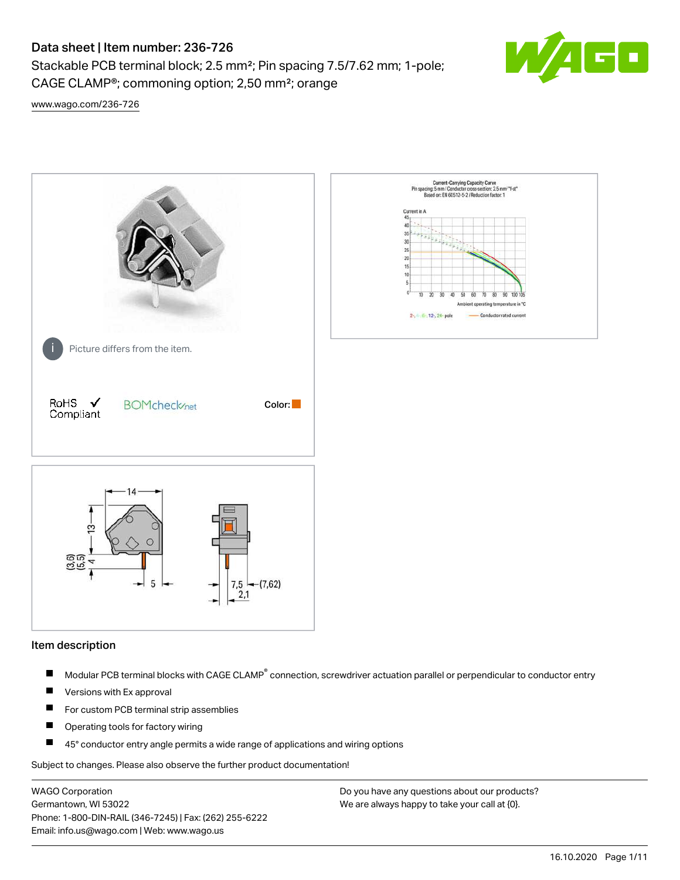Stackable PCB terminal block; 2.5 mm²; Pin spacing 7.5/7.62 mm; 1-pole; CAGE CLAMP®; commoning option; 2,50 mm²; orange



[www.wago.com/236-726](http://www.wago.com/236-726)



#### Item description

- Modular PCB terminal blocks with CAGE CLAMP<sup>®</sup> connection, screwdriver actuation parallel or perpendicular to conductor entry П
- $\blacksquare$ Versions with Ex approval
- П For custom PCB terminal strip assemblies
- $\blacksquare$ Operating tools for factory wiring
- $\blacksquare$ 45° conductor entry angle permits a wide range of applications and wiring options

Subject to changes. Please also observe the further product documentation!

WAGO Corporation Germantown, WI 53022 Phone: 1-800-DIN-RAIL (346-7245) | Fax: (262) 255-6222 Email: info.us@wago.com | Web: www.wago.us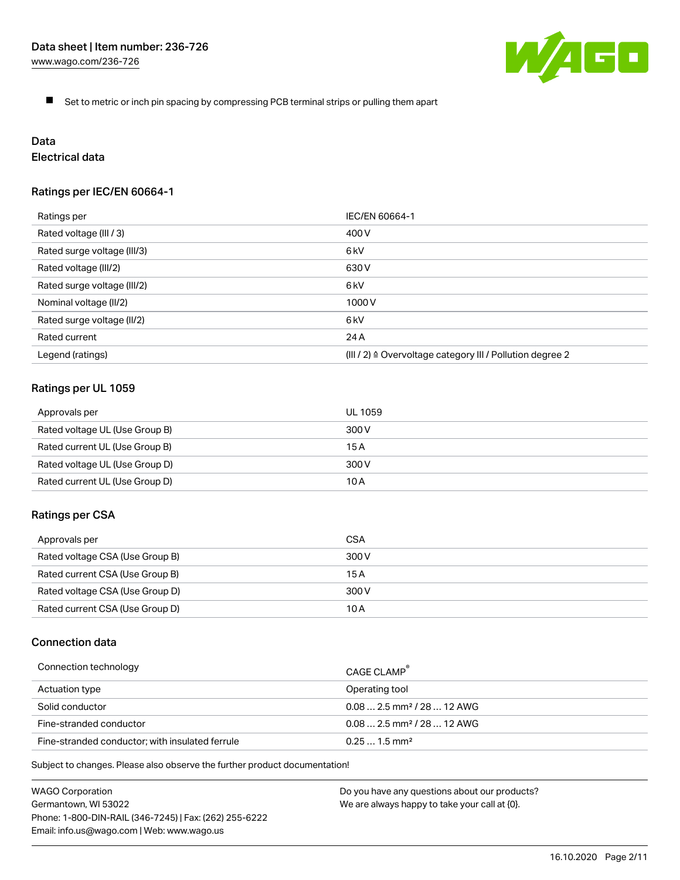

 $\blacksquare$ Set to metric or inch pin spacing by compressing PCB terminal strips or pulling them apart

# Data

# Electrical data

# Ratings per IEC/EN 60664-1

| Ratings per                 | IEC/EN 60664-1                                                        |
|-----------------------------|-----------------------------------------------------------------------|
| Rated voltage (III / 3)     | 400 V                                                                 |
| Rated surge voltage (III/3) | 6kV                                                                   |
| Rated voltage (III/2)       | 630 V                                                                 |
| Rated surge voltage (III/2) | 6 <sub>kV</sub>                                                       |
| Nominal voltage (II/2)      | 1000 V                                                                |
| Rated surge voltage (II/2)  | 6 <sub>kV</sub>                                                       |
| Rated current               | 24 A                                                                  |
| Legend (ratings)            | $(III / 2)$ $\triangle$ Overvoltage category III / Pollution degree 2 |

# Ratings per UL 1059

| Approvals per                  | UL 1059 |
|--------------------------------|---------|
| Rated voltage UL (Use Group B) | 300 V   |
| Rated current UL (Use Group B) | 15 A    |
| Rated voltage UL (Use Group D) | 300 V   |
| Rated current UL (Use Group D) | 10 A    |

#### Ratings per CSA

| Approvals per                   | CSA   |
|---------------------------------|-------|
| Rated voltage CSA (Use Group B) | 300 V |
| Rated current CSA (Use Group B) | 15 A  |
| Rated voltage CSA (Use Group D) | 300 V |
| Rated current CSA (Use Group D) | 10 A  |

# Connection data

| Connection technology                           | CAGE CLAMP                              |
|-------------------------------------------------|-----------------------------------------|
| Actuation type                                  | Operating tool                          |
| Solid conductor                                 | $0.08$ 2.5 mm <sup>2</sup> / 28  12 AWG |
| Fine-stranded conductor                         | $0.082.5$ mm <sup>2</sup> / 28  12 AWG  |
| Fine-stranded conductor; with insulated ferrule | $0.251.5$ mm <sup>2</sup>               |

Subject to changes. Please also observe the further product documentation!

WAGO Corporation Germantown, WI 53022 Phone: 1-800-DIN-RAIL (346-7245) | Fax: (262) 255-6222 Email: info.us@wago.com | Web: www.wago.us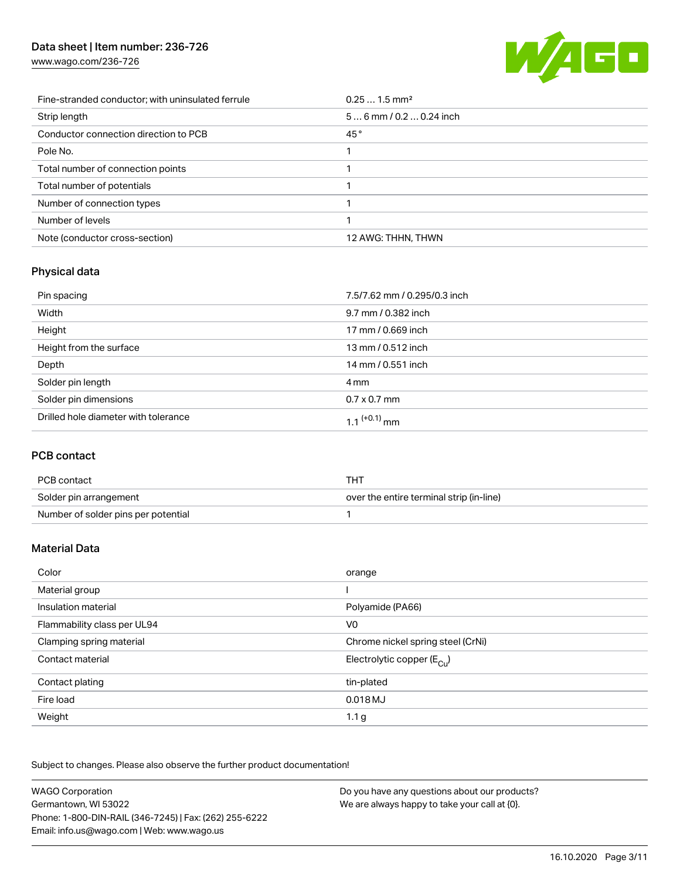[www.wago.com/236-726](http://www.wago.com/236-726)



| Fine-stranded conductor; with uninsulated ferrule | $0.251.5$ mm <sup>2</sup> |
|---------------------------------------------------|---------------------------|
| Strip length                                      | $56$ mm / 0.2  0.24 inch  |
| Conductor connection direction to PCB             | 45°                       |
| Pole No.                                          |                           |
| Total number of connection points                 |                           |
| Total number of potentials                        |                           |
| Number of connection types                        |                           |
| Number of levels                                  |                           |
| Note (conductor cross-section)                    | 12 AWG: THHN, THWN        |

# Physical data

| Pin spacing                          | 7.5/7.62 mm / 0.295/0.3 inch |
|--------------------------------------|------------------------------|
| Width                                | 9.7 mm / 0.382 inch          |
| Height                               | 17 mm / 0.669 inch           |
| Height from the surface              | 13 mm / 0.512 inch           |
| Depth                                | 14 mm / 0.551 inch           |
| Solder pin length                    | 4 mm                         |
| Solder pin dimensions                | $0.7 \times 0.7$ mm          |
| Drilled hole diameter with tolerance | 1.1 <sup>(+0.1)</sup> mm     |

# PCB contact

| PCB contact                         | тнт                                      |
|-------------------------------------|------------------------------------------|
| Solder pin arrangement              | over the entire terminal strip (in-line) |
| Number of solder pins per potential |                                          |

# Material Data

| Color                       | orange                                |
|-----------------------------|---------------------------------------|
| Material group              |                                       |
| Insulation material         | Polyamide (PA66)                      |
| Flammability class per UL94 | V <sub>0</sub>                        |
| Clamping spring material    | Chrome nickel spring steel (CrNi)     |
| Contact material            | Electrolytic copper $(E_{\text{Cl}})$ |
| Contact plating             | tin-plated                            |
| Fire load                   | 0.018 MJ                              |
| Weight                      | 1.1 g                                 |

Subject to changes. Please also observe the further product documentation!

| <b>WAGO Corporation</b>                                | Do you have any questions about our products? |
|--------------------------------------------------------|-----------------------------------------------|
| Germantown, WI 53022                                   | We are always happy to take your call at {0}. |
| Phone: 1-800-DIN-RAIL (346-7245)   Fax: (262) 255-6222 |                                               |
| Email: info.us@wago.com   Web: www.wago.us             |                                               |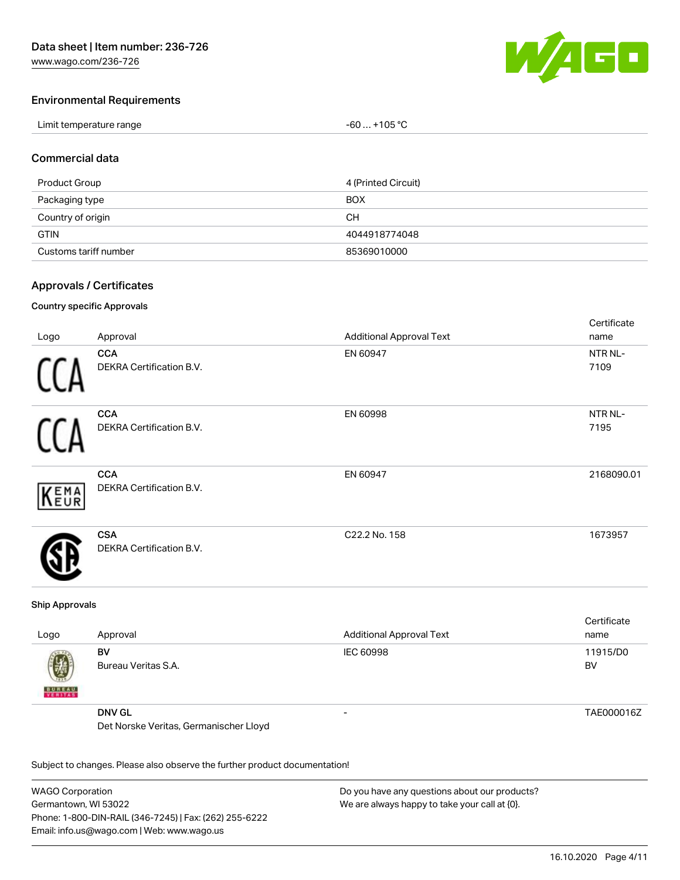

Cortificato

# Environmental Requirements

| Limit temperature range<br>. | +105 $^{\circ}$ C<br>-60 |
|------------------------------|--------------------------|
|------------------------------|--------------------------|

#### Commercial data

| Product Group         | 4 (Printed Circuit) |
|-----------------------|---------------------|
| Packaging type        | <b>BOX</b>          |
| Country of origin     | CН                  |
| <b>GTIN</b>           | 4044918774048       |
| Customs tariff number | 85369010000         |

#### Approvals / Certificates

#### Country specific Approvals

| Logo | Approval                               | <b>Additional Approval Text</b> | <b>OCI UITUALE</b><br>name |
|------|----------------------------------------|---------------------------------|----------------------------|
|      | <b>CCA</b><br>DEKRA Certification B.V. | EN 60947                        | NTR NL-<br>7109            |
|      | <b>CCA</b><br>DEKRA Certification B.V. | EN 60998                        | NTR NL-<br>7195            |
| KEMA | <b>CCA</b><br>DEKRA Certification B.V. | EN 60947                        | 2168090.01                 |
|      | <b>CSA</b><br>DEKRA Certification B.V. | C22.2 No. 158                   | 1673957                    |

#### Ship Approvals

| Logo               | Approval                               | <b>Additional Approval Text</b> | Certificate<br>name |
|--------------------|----------------------------------------|---------------------------------|---------------------|
| Ø<br><b>BUREAU</b> | BV<br>Bureau Veritas S.A.              | IEC 60998                       | 11915/D0<br>BV      |
|                    | <b>DNV GL</b>                          | -                               | TAE000016Z          |
|                    | Det Norske Veritas, Germanischer Lloyd |                                 |                     |

Subject to changes. Please also observe the further product documentation!

WAGO Corporation Germantown, WI 53022 Phone: 1-800-DIN-RAIL (346-7245) | Fax: (262) 255-6222 Email: info.us@wago.com | Web: www.wago.us Do you have any questions about our products? We are always happy to take your call at {0}.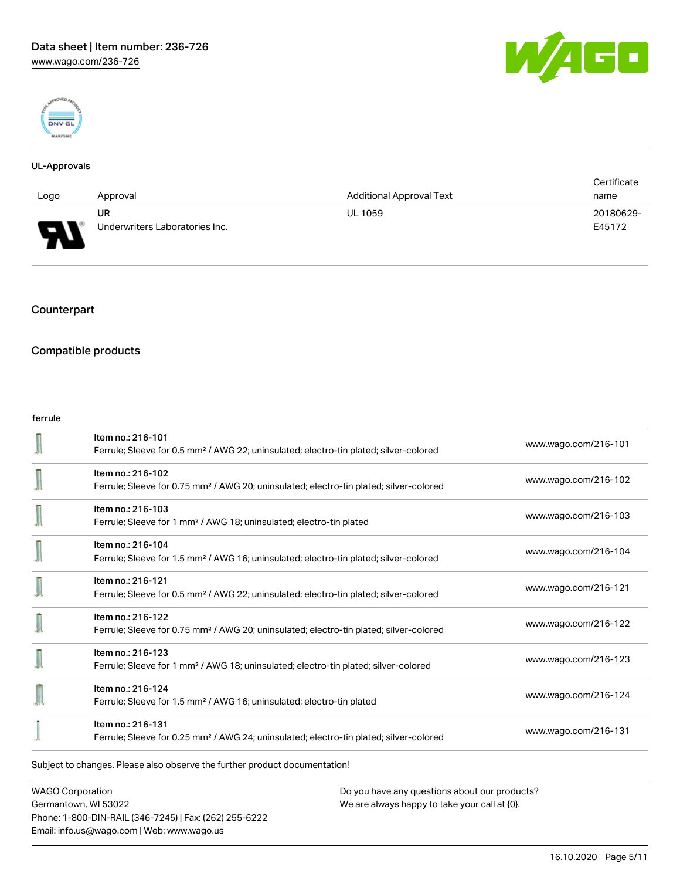



#### UL-Approvals

|                               |                                |                                 | Certificate |
|-------------------------------|--------------------------------|---------------------------------|-------------|
| Logo                          | Approval                       | <b>Additional Approval Text</b> | name        |
|                               | <b>UR</b>                      | <b>UL 1059</b>                  | 20180629-   |
| ſ<br>$\overline{\phantom{a}}$ | Underwriters Laboratories Inc. |                                 | E45172      |

# Counterpart

### Compatible products

#### ferrule

|                                                                            | Item no.: 216-101<br>Ferrule; Sleeve for 0.5 mm <sup>2</sup> / AWG 22; uninsulated; electro-tin plated; silver-colored  | www.wago.com/216-101 |  |
|----------------------------------------------------------------------------|-------------------------------------------------------------------------------------------------------------------------|----------------------|--|
|                                                                            | Item no.: 216-102<br>Ferrule; Sleeve for 0.75 mm <sup>2</sup> / AWG 20; uninsulated; electro-tin plated; silver-colored | www.wago.com/216-102 |  |
|                                                                            | Item no.: 216-103<br>Ferrule; Sleeve for 1 mm <sup>2</sup> / AWG 18; uninsulated; electro-tin plated                    | www.wago.com/216-103 |  |
|                                                                            | Item no.: 216-104<br>Ferrule; Sleeve for 1.5 mm <sup>2</sup> / AWG 16; uninsulated; electro-tin plated; silver-colored  | www.wago.com/216-104 |  |
|                                                                            | Item no.: 216-121<br>Ferrule; Sleeve for 0.5 mm <sup>2</sup> / AWG 22; uninsulated; electro-tin plated; silver-colored  | www.wago.com/216-121 |  |
|                                                                            | Item no.: 216-122<br>Ferrule; Sleeve for 0.75 mm <sup>2</sup> / AWG 20; uninsulated; electro-tin plated; silver-colored | www.wago.com/216-122 |  |
|                                                                            | Item no.: 216-123<br>Ferrule; Sleeve for 1 mm <sup>2</sup> / AWG 18; uninsulated; electro-tin plated; silver-colored    | www.wago.com/216-123 |  |
|                                                                            | Item no.: 216-124<br>Ferrule; Sleeve for 1.5 mm <sup>2</sup> / AWG 16; uninsulated; electro-tin plated                  | www.wago.com/216-124 |  |
|                                                                            | Item no.: 216-131<br>Ferrule; Sleeve for 0.25 mm <sup>2</sup> / AWG 24; uninsulated; electro-tin plated; silver-colored | www.wago.com/216-131 |  |
| Subject to changes. Please also observe the further product documentation! |                                                                                                                         |                      |  |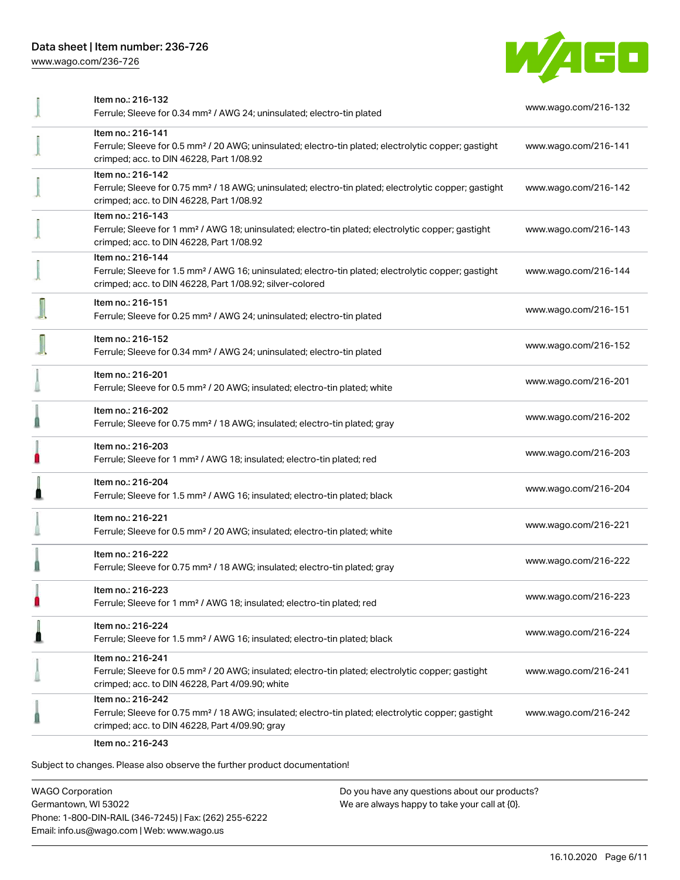[www.wago.com/236-726](http://www.wago.com/236-726)



| Item no.: 216-132<br>Ferrule; Sleeve for 0.34 mm <sup>2</sup> / AWG 24; uninsulated; electro-tin plated                                                                                           | www.wago.com/216-132 |  |
|---------------------------------------------------------------------------------------------------------------------------------------------------------------------------------------------------|----------------------|--|
| Item no.: 216-141<br>Ferrule; Sleeve for 0.5 mm <sup>2</sup> / 20 AWG; uninsulated; electro-tin plated; electrolytic copper; gastight<br>crimped; acc. to DIN 46228, Part 1/08.92                 | www.wago.com/216-141 |  |
| Item no.: 216-142<br>Ferrule; Sleeve for 0.75 mm <sup>2</sup> / 18 AWG; uninsulated; electro-tin plated; electrolytic copper; gastight<br>crimped; acc. to DIN 46228, Part 1/08.92                | www.wago.com/216-142 |  |
| Item no.: 216-143<br>Ferrule; Sleeve for 1 mm <sup>2</sup> / AWG 18; uninsulated; electro-tin plated; electrolytic copper; gastight<br>crimped; acc. to DIN 46228, Part 1/08.92                   | www.wago.com/216-143 |  |
| Item no.: 216-144<br>Ferrule; Sleeve for 1.5 mm <sup>2</sup> / AWG 16; uninsulated; electro-tin plated; electrolytic copper; gastight<br>crimped; acc. to DIN 46228, Part 1/08.92; silver-colored | www.wago.com/216-144 |  |
| Item no.: 216-151<br>Ferrule; Sleeve for 0.25 mm <sup>2</sup> / AWG 24; uninsulated; electro-tin plated                                                                                           | www.wago.com/216-151 |  |
| Item no.: 216-152<br>Ferrule; Sleeve for 0.34 mm <sup>2</sup> / AWG 24; uninsulated; electro-tin plated                                                                                           | www.wago.com/216-152 |  |
| Item no.: 216-201<br>Ferrule; Sleeve for 0.5 mm <sup>2</sup> / 20 AWG; insulated; electro-tin plated; white                                                                                       | www.wago.com/216-201 |  |
| Item no.: 216-202<br>Ferrule; Sleeve for 0.75 mm <sup>2</sup> / 18 AWG; insulated; electro-tin plated; gray                                                                                       | www.wago.com/216-202 |  |
| Item no.: 216-203<br>Ferrule; Sleeve for 1 mm <sup>2</sup> / AWG 18; insulated; electro-tin plated; red                                                                                           | www.wago.com/216-203 |  |
| Item no.: 216-204<br>Ferrule; Sleeve for 1.5 mm <sup>2</sup> / AWG 16; insulated; electro-tin plated; black                                                                                       | www.wago.com/216-204 |  |
| Item no.: 216-221<br>Ferrule; Sleeve for 0.5 mm <sup>2</sup> / 20 AWG; insulated; electro-tin plated; white                                                                                       | www.wago.com/216-221 |  |
| Item no.: 216-222<br>Ferrule; Sleeve for 0.75 mm <sup>2</sup> / 18 AWG; insulated; electro-tin plated; gray                                                                                       | www.wago.com/216-222 |  |
| Item no.: 216-223<br>Ferrule; Sleeve for 1 mm <sup>2</sup> / AWG 18; insulated; electro-tin plated; red                                                                                           | www.wago.com/216-223 |  |
| Item no.: 216-224<br>Ferrule; Sleeve for 1.5 mm <sup>2</sup> / AWG 16; insulated; electro-tin plated; black                                                                                       | www.wago.com/216-224 |  |
| Item no.: 216-241<br>Ferrule; Sleeve for 0.5 mm <sup>2</sup> / 20 AWG; insulated; electro-tin plated; electrolytic copper; gastight<br>crimped; acc. to DIN 46228, Part 4/09.90; white            | www.wago.com/216-241 |  |
| Item no.: 216-242<br>Ferrule; Sleeve for 0.75 mm <sup>2</sup> / 18 AWG; insulated; electro-tin plated; electrolytic copper; gastight<br>crimped; acc. to DIN 46228, Part 4/09.90; gray            | www.wago.com/216-242 |  |
| Item no.: 216-243                                                                                                                                                                                 |                      |  |

Subject to changes. Please also observe the further product documentation!

WAGO Corporation Germantown, WI 53022 Phone: 1-800-DIN-RAIL (346-7245) | Fax: (262) 255-6222 Email: info.us@wago.com | Web: www.wago.us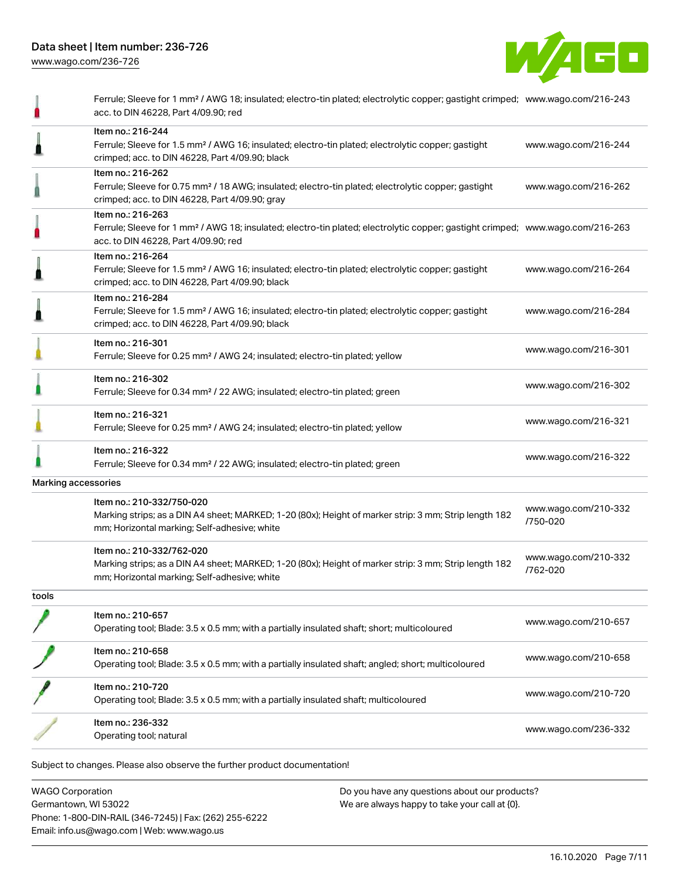

|                                                                          | Ferrule; Sleeve for 1 mm <sup>2</sup> / AWG 18; insulated; electro-tin plated; electrolytic copper; gastight crimped; www.wago.com/216-243<br>acc. to DIN 46228, Part 4/09.90; red                      |                                  |
|--------------------------------------------------------------------------|---------------------------------------------------------------------------------------------------------------------------------------------------------------------------------------------------------|----------------------------------|
|                                                                          | Item no.: 216-244<br>Ferrule; Sleeve for 1.5 mm <sup>2</sup> / AWG 16; insulated; electro-tin plated; electrolytic copper; gastight<br>crimped; acc. to DIN 46228, Part 4/09.90; black                  | www.wago.com/216-244             |
|                                                                          | Item no.: 216-262<br>Ferrule; Sleeve for 0.75 mm <sup>2</sup> / 18 AWG; insulated; electro-tin plated; electrolytic copper; gastight<br>crimped; acc. to DIN 46228, Part 4/09.90; gray                  | www.wago.com/216-262             |
|                                                                          | Item no.: 216-263<br>Ferrule; Sleeve for 1 mm <sup>2</sup> / AWG 18; insulated; electro-tin plated; electrolytic copper; gastight crimped; www.wago.com/216-263<br>acc. to DIN 46228, Part 4/09.90; red |                                  |
|                                                                          | Item no.: 216-264<br>Ferrule; Sleeve for 1.5 mm <sup>2</sup> / AWG 16; insulated; electro-tin plated; electrolytic copper; gastight<br>crimped; acc. to DIN 46228, Part 4/09.90; black                  | www.wago.com/216-264             |
|                                                                          | Item no.: 216-284<br>Ferrule; Sleeve for 1.5 mm <sup>2</sup> / AWG 16; insulated; electro-tin plated; electrolytic copper; gastight<br>crimped; acc. to DIN 46228, Part 4/09.90; black                  | www.wago.com/216-284             |
|                                                                          | Item no.: 216-301<br>Ferrule; Sleeve for 0.25 mm <sup>2</sup> / AWG 24; insulated; electro-tin plated; yellow                                                                                           | www.wago.com/216-301             |
|                                                                          | Item no.: 216-302<br>Ferrule; Sleeve for 0.34 mm <sup>2</sup> / 22 AWG; insulated; electro-tin plated; green                                                                                            | www.wago.com/216-302             |
|                                                                          | Item no.: 216-321<br>Ferrule; Sleeve for 0.25 mm <sup>2</sup> / AWG 24; insulated; electro-tin plated; yellow                                                                                           | www.wago.com/216-321             |
|                                                                          | Item no.: 216-322<br>Ferrule; Sleeve for 0.34 mm <sup>2</sup> / 22 AWG; insulated; electro-tin plated; green                                                                                            | www.wago.com/216-322             |
|                                                                          | Marking accessories                                                                                                                                                                                     |                                  |
|                                                                          | Item no.: 210-332/750-020<br>Marking strips; as a DIN A4 sheet; MARKED; 1-20 (80x); Height of marker strip: 3 mm; Strip length 182<br>mm; Horizontal marking; Self-adhesive; white                      | www.wago.com/210-332<br>/750-020 |
|                                                                          | Item no.: 210-332/762-020<br>Marking strips; as a DIN A4 sheet; MARKED; 1-20 (80x); Height of marker strip: 3 mm; Strip length 182<br>mm; Horizontal marking; Self-adhesive; white                      | www.wago.com/210-332<br>/762-020 |
| tools                                                                    |                                                                                                                                                                                                         |                                  |
|                                                                          | Item no.: 210-657<br>Operating tool; Blade: 3.5 x 0.5 mm; with a partially insulated shaft; short; multicoloured                                                                                        | www.wago.com/210-657             |
|                                                                          | Item no.: 210-658<br>Operating tool; Blade: 3.5 x 0.5 mm; with a partially insulated shaft; angled; short; multicoloured                                                                                | www.wago.com/210-658             |
|                                                                          | Item no.: 210-720<br>Operating tool; Blade: 3.5 x 0.5 mm; with a partially insulated shaft; multicoloured                                                                                               | www.wago.com/210-720             |
|                                                                          | ltem no.: 236-332<br>Operating tool; natural                                                                                                                                                            | www.wago.com/236-332             |
|                                                                          | Subject to changes. Please also observe the further product documentation!                                                                                                                              |                                  |
| <b>WAGO Corporation</b><br>Do you have any questions about our products? |                                                                                                                                                                                                         |                                  |

Germantown, WI 53022 Phone: 1-800-DIN-RAIL (346-7245) | Fax: (262) 255-6222 Email: info.us@wago.com | Web: www.wago.us

We are always happy to take your call at {0}.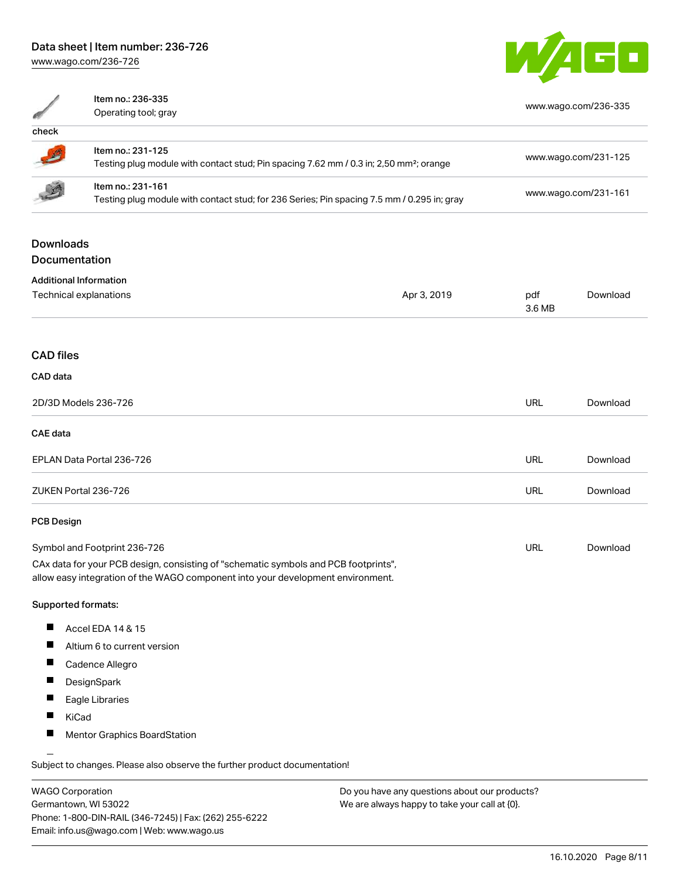[www.wago.com/236-726](http://www.wago.com/236-726)



|                                                                                                                                                                        | Item no.: 236-335<br>Operating tool; gray                                                                               |             |                      | www.wago.com/236-335 |  |
|------------------------------------------------------------------------------------------------------------------------------------------------------------------------|-------------------------------------------------------------------------------------------------------------------------|-------------|----------------------|----------------------|--|
| check                                                                                                                                                                  |                                                                                                                         |             |                      |                      |  |
|                                                                                                                                                                        | Item no.: 231-125<br>Testing plug module with contact stud; Pin spacing 7.62 mm / 0.3 in; 2,50 mm <sup>2</sup> ; orange |             |                      | www.wago.com/231-125 |  |
|                                                                                                                                                                        | Item no.: 231-161<br>Testing plug module with contact stud; for 236 Series; Pin spacing 7.5 mm / 0.295 in; gray         |             | www.wago.com/231-161 |                      |  |
| <b>Downloads</b><br>Documentation                                                                                                                                      |                                                                                                                         |             |                      |                      |  |
|                                                                                                                                                                        |                                                                                                                         |             |                      |                      |  |
|                                                                                                                                                                        | <b>Additional Information</b><br>Technical explanations                                                                 | Apr 3, 2019 | pdf<br>3.6 MB        | Download             |  |
| <b>CAD files</b>                                                                                                                                                       |                                                                                                                         |             |                      |                      |  |
| CAD data                                                                                                                                                               |                                                                                                                         |             |                      |                      |  |
| 2D/3D Models 236-726                                                                                                                                                   |                                                                                                                         | <b>URL</b>  | Download             |                      |  |
| <b>CAE</b> data                                                                                                                                                        |                                                                                                                         |             |                      |                      |  |
| EPLAN Data Portal 236-726                                                                                                                                              |                                                                                                                         | <b>URL</b>  | Download             |                      |  |
| ZUKEN Portal 236-726                                                                                                                                                   |                                                                                                                         | <b>URL</b>  | Download             |                      |  |
| <b>PCB Design</b>                                                                                                                                                      |                                                                                                                         |             |                      |                      |  |
| Symbol and Footprint 236-726                                                                                                                                           |                                                                                                                         | URL         | Download             |                      |  |
| CAx data for your PCB design, consisting of "schematic symbols and PCB footprints",<br>allow easy integration of the WAGO component into your development environment. |                                                                                                                         |             |                      |                      |  |
| Supported formats:                                                                                                                                                     |                                                                                                                         |             |                      |                      |  |
| Ш                                                                                                                                                                      | Accel EDA 14 & 15                                                                                                       |             |                      |                      |  |
| ш                                                                                                                                                                      | Altium 6 to current version                                                                                             |             |                      |                      |  |
|                                                                                                                                                                        | Cadence Allegro                                                                                                         |             |                      |                      |  |
|                                                                                                                                                                        | DesignSpark                                                                                                             |             |                      |                      |  |
|                                                                                                                                                                        | Eagle Libraries                                                                                                         |             |                      |                      |  |
|                                                                                                                                                                        | KiCad                                                                                                                   |             |                      |                      |  |
| Mentor Graphics BoardStation                                                                                                                                           |                                                                                                                         |             |                      |                      |  |
| Subject to changes. Please also observe the further product documentation!                                                                                             |                                                                                                                         |             |                      |                      |  |

WAGO Corporation Germantown, WI 53022 Phone: 1-800-DIN-RAIL (346-7245) | Fax: (262) 255-6222 Email: info.us@wago.com | Web: www.wago.us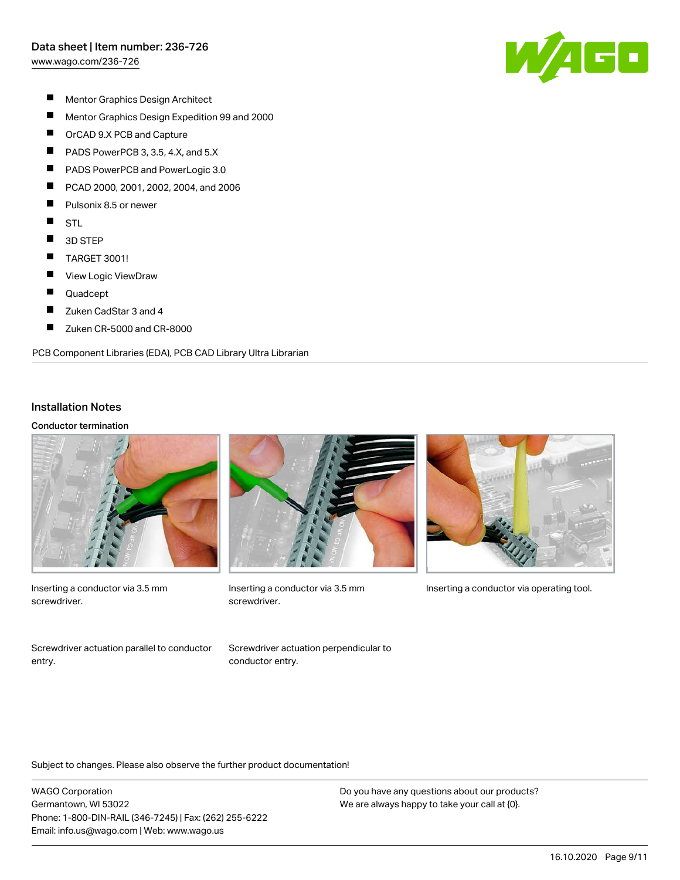[www.wago.com/236-726](http://www.wago.com/236-726)



- $\blacksquare$ Mentor Graphics Design Architect
- $\blacksquare$ Mentor Graphics Design Expedition 99 and 2000
- $\blacksquare$ OrCAD 9.X PCB and Capture
- $\blacksquare$ PADS PowerPCB 3, 3.5, 4.X, and 5.X
- П PADS PowerPCB and PowerLogic 3.0
- П PCAD 2000, 2001, 2002, 2004, and 2006
- $\blacksquare$ Pulsonix 8.5 or newer
- $\blacksquare$ STL
- $\blacksquare$ 3D STEP
- $\blacksquare$ TARGET 3001!
- $\blacksquare$ View Logic ViewDraw
- Е Quadcept
- $\blacksquare$ Zuken CadStar 3 and 4
- $\blacksquare$ Zuken CR-5000 and CR-8000

PCB Component Libraries (EDA), PCB CAD Library Ultra Librarian

#### Installation Notes

#### Conductor termination



Inserting a conductor via 3.5 mm screwdriver.

Screwdriver actuation parallel to conductor entry.



screwdriver.

Screwdriver actuation perpendicular to

conductor entry.



Inserting a conductor via 3.5 mm Inserting a conductor via operating tool.

Subject to changes. Please also observe the further product documentation!

WAGO Corporation Germantown, WI 53022 Phone: 1-800-DIN-RAIL (346-7245) | Fax: (262) 255-6222 Email: info.us@wago.com | Web: www.wago.us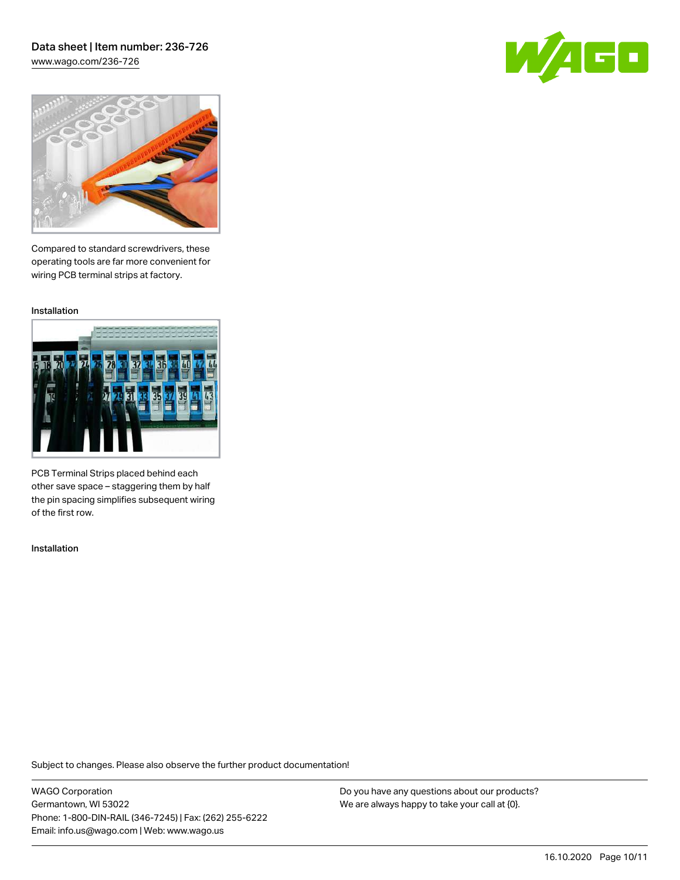### Data sheet | Item number: 236-726 [www.wago.com/236-726](http://www.wago.com/236-726)





Compared to standard screwdrivers, these operating tools are far more convenient for wiring PCB terminal strips at factory.

Installation



PCB Terminal Strips placed behind each other save space – staggering them by half the pin spacing simplifies subsequent wiring of the first row.

Installation

Subject to changes. Please also observe the further product documentation!

WAGO Corporation Germantown, WI 53022 Phone: 1-800-DIN-RAIL (346-7245) | Fax: (262) 255-6222 Email: info.us@wago.com | Web: www.wago.us